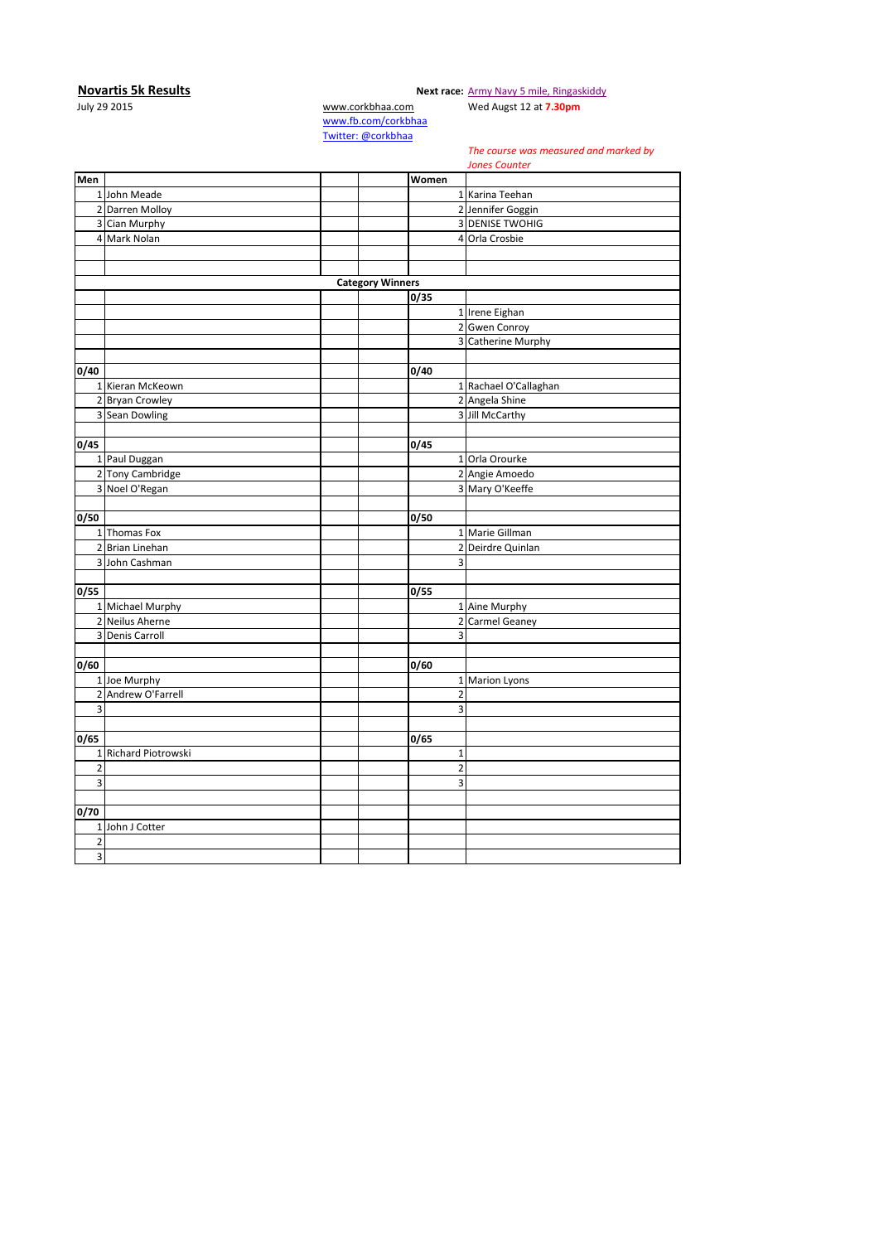**Novartis 5k Results Next race:** [Army Navy 5 mile, Ringaskiddy](http://corkbhaa.com/races/army-navy/)

## July 29 2015 [www.corkbhaa.com](http://www.corkbhaa.com/) Wed Augst 12 at **7.30pm**

[www.fb.com/corkbhaa](http://www.fb.com/corkbhaa) [Twitter: @corkbhaa](https://twitter.com/corkbhaa)

## *The course was measured and marked by*

**Men Women** 1 John Meade 1 Karina Teehan 2 Darren Molloy 2 Jennifer Goggin<br>
3 Cian Murphy 2 2 Jennifer Goggin<br>
2 DENISE TWOHIC 3 Cian Murphy 2012 1 2022 1 2023 1 2023 1 2024 1 2022 1 2023 1 2024 1 2022 1 2023 1 2024 1 2022 1 2022 1 2023 1 2024 1 2022 1 2022 1 2023 1 2024 1 2022 1 2022 1 2023 1 2024 1 2022 1 2023 1 2024 1 2022 1 2023 1 2024 1 2022 4 Mark Nolan 4 Mark Nolan 4 Orla Crosbie **Category Winners 0/35** 1 Irene Eighan 2 Gwen Conroy 3 Catherine Murphy **0/40 0/40** 1 Kieran McKeown 1 Rachael O'Callaghan 2 Bryan Crowley 2 Angela Shine<br>
3 Sean Dowling 2 2 Angela Shine<br>
2 3 Jill McCarthy 3 Sean Dowling **0/45 0/45** 1 Paul Duggan 1 Orla Orourke<br>2 Tony Cambridge 2 Angie Amoedo 2 Tony Cambridge 3 Noel O'Regan 3 Noel O'Regan 3 Mary O'Keeffe **0/50 0/50** 1 Thomas Fox 1 Marie Gillman<br>2 Brian Linehan 2 2 Deirdre Quinlan 2 Brian Linehan 2 2 3 John Cashman 3 **0/55 0/55** 1 Michael Murphy 1 Aine Murphy 1 Aine Murphy 2 Neilus Aherne 2 2 Carmel Geaney 3 Denis Carroll 3 20 November 2014 **0/60 0/60 1** Joe Murphy **1** Marion Lyons 2 Andrew O'Farrell 2<br>3  $3$ **0/65 0/65** 1 Richard Piotrowski 1 2 2  $3$ **0/70** 1 John J Cotter 2 3 *Jones Counter*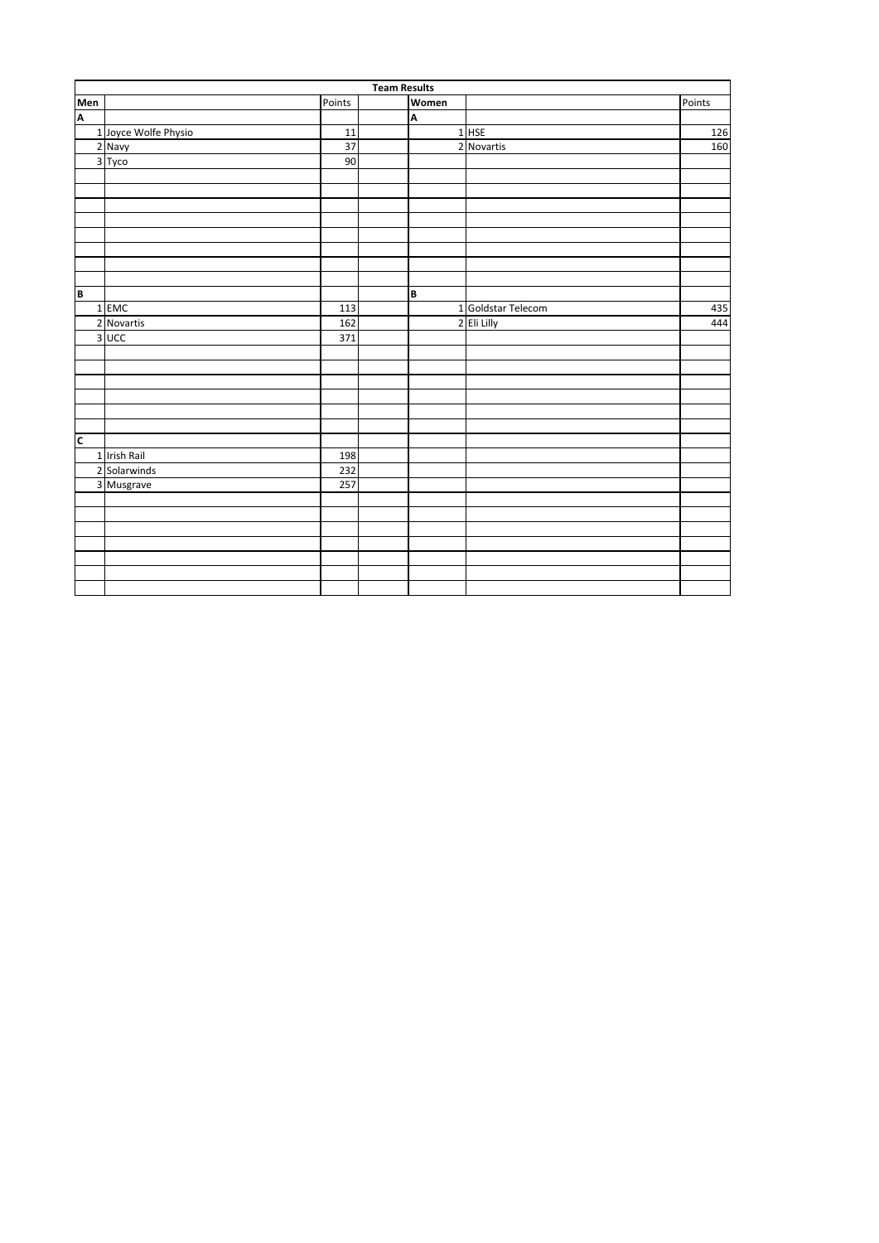|                         | <b>Team Results</b>  |        |  |       |                    |        |  |  |
|-------------------------|----------------------|--------|--|-------|--------------------|--------|--|--|
| Men                     |                      | Points |  | Women |                    | Points |  |  |
| $\overline{\mathbf{A}}$ |                      |        |  | A     |                    |        |  |  |
|                         | 1 Joyce Wolfe Physio | 11     |  |       | $1$ HSE            | 126    |  |  |
|                         | 2 Navy               | 37     |  |       | 2 Novartis         | 160    |  |  |
|                         | 3 Tyco               | 90     |  |       |                    |        |  |  |
|                         |                      |        |  |       |                    |        |  |  |
|                         |                      |        |  |       |                    |        |  |  |
|                         |                      |        |  |       |                    |        |  |  |
|                         |                      |        |  |       |                    |        |  |  |
|                         |                      |        |  |       |                    |        |  |  |
|                         |                      |        |  |       |                    |        |  |  |
|                         |                      |        |  |       |                    |        |  |  |
|                         |                      |        |  |       |                    |        |  |  |
| B                       |                      |        |  | B     |                    |        |  |  |
|                         | 1 EMC                | 113    |  |       | 1 Goldstar Telecom | 435    |  |  |
|                         | 2 Novartis           | 162    |  |       | 2 Eli Lilly        | 444    |  |  |
|                         | 3 UCC                | 371    |  |       |                    |        |  |  |
|                         |                      |        |  |       |                    |        |  |  |
|                         |                      |        |  |       |                    |        |  |  |
|                         |                      |        |  |       |                    |        |  |  |
|                         |                      |        |  |       |                    |        |  |  |
|                         |                      |        |  |       |                    |        |  |  |
|                         |                      |        |  |       |                    |        |  |  |
| $\overline{\mathsf{c}}$ |                      |        |  |       |                    |        |  |  |
|                         | 1 Irish Rail         | 198    |  |       |                    |        |  |  |
|                         | 2 Solarwinds         | 232    |  |       |                    |        |  |  |
|                         | 3 Musgrave           | 257    |  |       |                    |        |  |  |
|                         |                      |        |  |       |                    |        |  |  |
|                         |                      |        |  |       |                    |        |  |  |
|                         |                      |        |  |       |                    |        |  |  |
|                         |                      |        |  |       |                    |        |  |  |
|                         |                      |        |  |       |                    |        |  |  |
|                         |                      |        |  |       |                    |        |  |  |
|                         |                      |        |  |       |                    |        |  |  |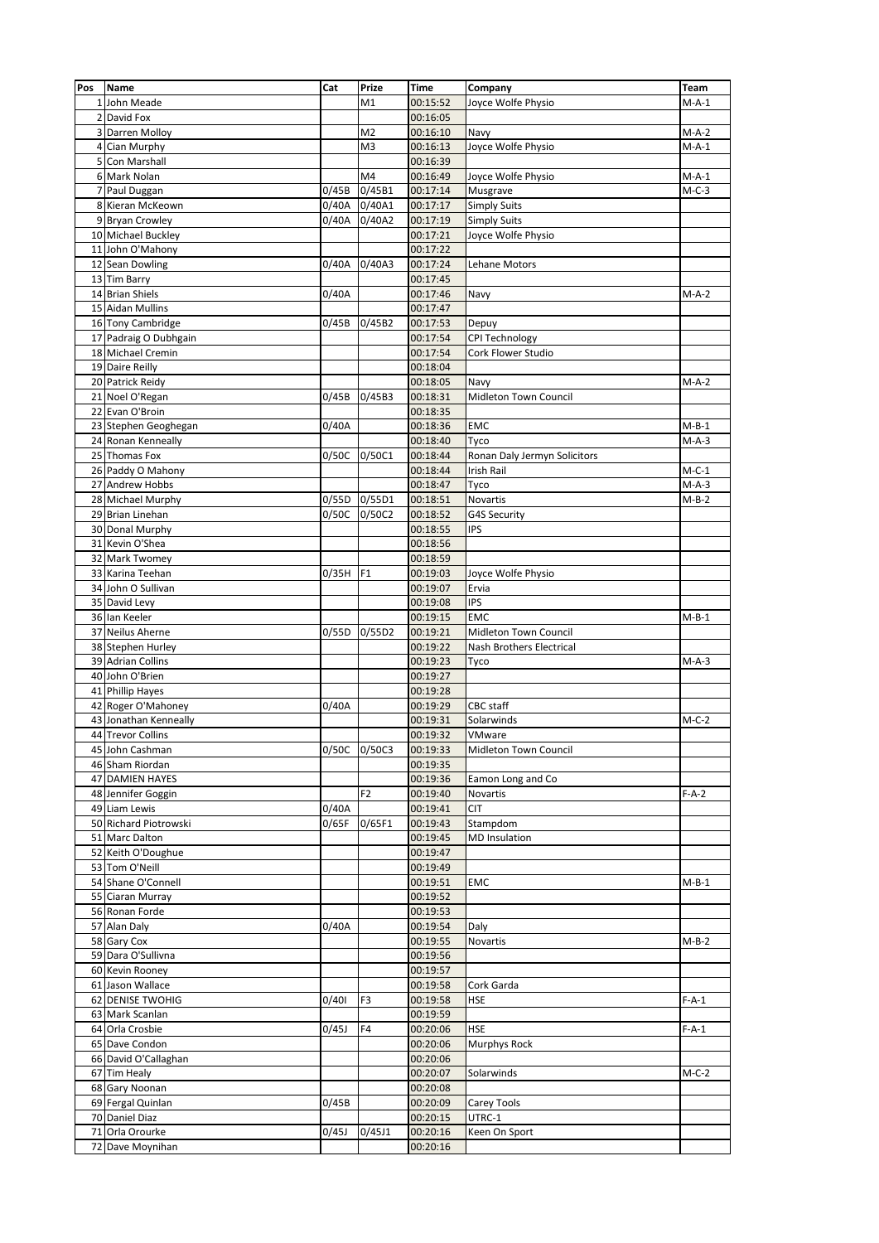| Pos            | Name                  | Cat   | Prize          | Time     | Company                      | Team    |
|----------------|-----------------------|-------|----------------|----------|------------------------------|---------|
|                | 1 John Meade          |       | M1             | 00:15:52 | Joyce Wolfe Physio           | $M-A-1$ |
| $\overline{2}$ | David Fox             |       |                | 00:16:05 |                              |         |
| 3              | Darren Molloy         |       | M2             | 00:16:10 | Navy                         | $M-A-2$ |
| 4              | Cian Murphy           |       | M3             | 00:16:13 | Joyce Wolfe Physio           | $M-A-1$ |
| 5              | Con Marshall          |       |                | 00:16:39 |                              |         |
| 6              | Mark Nolan            |       | M4             | 00:16:49 | Joyce Wolfe Physio           | $M-A-1$ |
| 7              | Paul Duggan           | 0/45B | 0/45B1         | 00:17:14 | Musgrave                     | $M-C-3$ |
|                | 8 Kieran McKeown      | 0/40A | 0/40A1         | 00:17:17 | <b>Simply Suits</b>          |         |
|                | 9 Bryan Crowley       | 0/40A | 0/40A2         | 00:17:19 | <b>Simply Suits</b>          |         |
|                | 10 Michael Buckley    |       |                | 00:17:21 | Joyce Wolfe Physio           |         |
|                | 11 John O'Mahony      |       |                | 00:17:22 |                              |         |
|                | 12 Sean Dowling       | 0/40A | 0/40A3         | 00:17:24 | <b>Lehane Motors</b>         |         |
|                | 13 Tim Barry          |       |                | 00:17:45 |                              |         |
|                | 14 Brian Shiels       | 0/40A |                | 00:17:46 | Navy                         | $M-A-2$ |
|                | 15 Aidan Mullins      |       |                | 00:17:47 |                              |         |
|                | 16 Tony Cambridge     | 0/45B | 0/45B2         | 00:17:53 | Depuy                        |         |
|                | 17 Padraig O Dubhgain |       |                | 00:17:54 | <b>CPI Technology</b>        |         |
|                | 18 Michael Cremin     |       |                | 00:17:54 | Cork Flower Studio           |         |
|                | 19 Daire Reilly       |       |                | 00:18:04 |                              |         |
|                | 20 Patrick Reidy      |       |                | 00:18:05 | Navy                         | $M-A-2$ |
|                | 21 Noel O'Regan       | 0/45B | 0/45B3         | 00:18:31 | Midleton Town Council        |         |
|                | 22 Evan O'Broin       |       |                | 00:18:35 |                              |         |
|                | 23 Stephen Geoghegan  | 0/40A |                | 00:18:36 | EMC                          | $M-B-1$ |
|                | 24 Ronan Kenneally    |       |                | 00:18:40 | Tyco                         | $M-A-3$ |
|                | 25 Thomas Fox         | 0/50C | 0/50C1         | 00:18:44 | Ronan Daly Jermyn Solicitors |         |
|                | 26 Paddy O Mahony     |       |                | 00:18:44 | Irish Rail                   | $M-C-1$ |
|                | 27 Andrew Hobbs       |       |                | 00:18:47 | Tyco                         | $M-A-3$ |
|                | 28 Michael Murphy     | 0/55D | 0/55D1         | 00:18:51 | Novartis                     | $M-B-2$ |
|                | 29 Brian Linehan      | 0/50C | 0/50C2         | 00:18:52 | G4S Security                 |         |
|                | 30 Donal Murphy       |       |                | 00:18:55 | <b>IPS</b>                   |         |
|                | 31 Kevin O'Shea       |       |                | 00:18:56 |                              |         |
|                | 32 Mark Twomey        |       |                | 00:18:59 |                              |         |
|                | 33 Karina Teehan      | 0/35H | F <sub>1</sub> | 00:19:03 | Joyce Wolfe Physio           |         |
|                | 34 John O Sullivan    |       |                | 00:19:07 | Ervia                        |         |
|                | 35 David Levy         |       |                | 00:19:08 | <b>IPS</b>                   |         |
|                | 36 Ian Keeler         |       |                | 00:19:15 | <b>EMC</b>                   | $M-B-1$ |
|                | 37 Neilus Aherne      | 0/55D | 0/55D2         | 00:19:21 | Midleton Town Council        |         |
|                | 38 Stephen Hurley     |       |                | 00:19:22 | Nash Brothers Electrical     |         |
|                | 39 Adrian Collins     |       |                | 00:19:23 | Tyco                         | $M-A-3$ |
|                | 40 John O'Brien       |       |                | 00:19:27 |                              |         |
|                | 41 Phillip Hayes      |       |                | 00:19:28 |                              |         |
|                | 42 Roger O'Mahoney    | 0/40A |                | 00:19:29 | <b>CBC</b> staff             |         |
|                | 43 Jonathan Kenneally |       |                | 00:19:31 | Solarwinds                   | $M-C-2$ |
|                | 44 Trevor Collins     |       |                | 00:19:32 | VMware                       |         |
|                | 45 John Cashman       |       | 0/50C 0/50C3   | 00:19:33 | Midleton Town Council        |         |
|                | 46 Sham Riordan       |       |                | 00:19:35 |                              |         |
|                | 47 DAMIEN HAYES       |       |                | 00:19:36 | Eamon Long and Co            |         |
|                | 48 Jennifer Goggin    |       | F <sub>2</sub> | 00:19:40 | Novartis                     | $F-A-2$ |
|                | 49 Liam Lewis         | 0/40A |                | 00:19:41 | <b>CIT</b>                   |         |
|                | 50 Richard Piotrowski | 0/65F | 0/65F1         | 00:19:43 | Stampdom                     |         |
|                | 51 Marc Dalton        |       |                | 00:19:45 | <b>MD</b> Insulation         |         |
|                | 52 Keith O'Doughue    |       |                | 00:19:47 |                              |         |
|                | 53 Tom O'Neill        |       |                | 00:19:49 |                              |         |
|                | 54 Shane O'Connell    |       |                | 00:19:51 | <b>EMC</b>                   | $M-B-1$ |
|                | 55 Ciaran Murray      |       |                | 00:19:52 |                              |         |
|                | 56 Ronan Forde        |       |                | 00:19:53 |                              |         |
|                | 57 Alan Daly          | 0/40A |                | 00:19:54 | Daly                         |         |
|                | 58 Gary Cox           |       |                | 00:19:55 | Novartis                     | $M-B-2$ |
|                | 59 Dara O'Sullivna    |       |                | 00:19:56 |                              |         |
|                | 60 Kevin Rooney       |       |                | 00:19:57 |                              |         |
|                | 61 Jason Wallace      |       |                | 00:19:58 | Cork Garda                   |         |
|                | 62 DENISE TWOHIG      | 0/401 | F3             | 00:19:58 | <b>HSE</b>                   | $F-A-1$ |
|                | 63 Mark Scanlan       |       |                | 00:19:59 |                              |         |
|                | 64 Orla Crosbie       | 0/45J | F4             | 00:20:06 | <b>HSE</b>                   | $F-A-1$ |
|                | 65 Dave Condon        |       |                | 00:20:06 | Murphys Rock                 |         |
|                | 66 David O'Callaghan  |       |                | 00:20:06 |                              |         |
|                | 67 Tim Healy          |       |                | 00:20:07 | Solarwinds                   | $M-C-2$ |
|                | 68 Gary Noonan        |       |                | 00:20:08 |                              |         |
|                | 69 Fergal Quinlan     | 0/45B |                | 00:20:09 | Carey Tools                  |         |
|                | 70 Daniel Diaz        |       |                | 00:20:15 | UTRC-1                       |         |
|                | 71 Orla Orourke       | 0/45J | 0/45J1         | 00:20:16 | Keen On Sport                |         |
|                | 72 Dave Moynihan      |       |                | 00:20:16 |                              |         |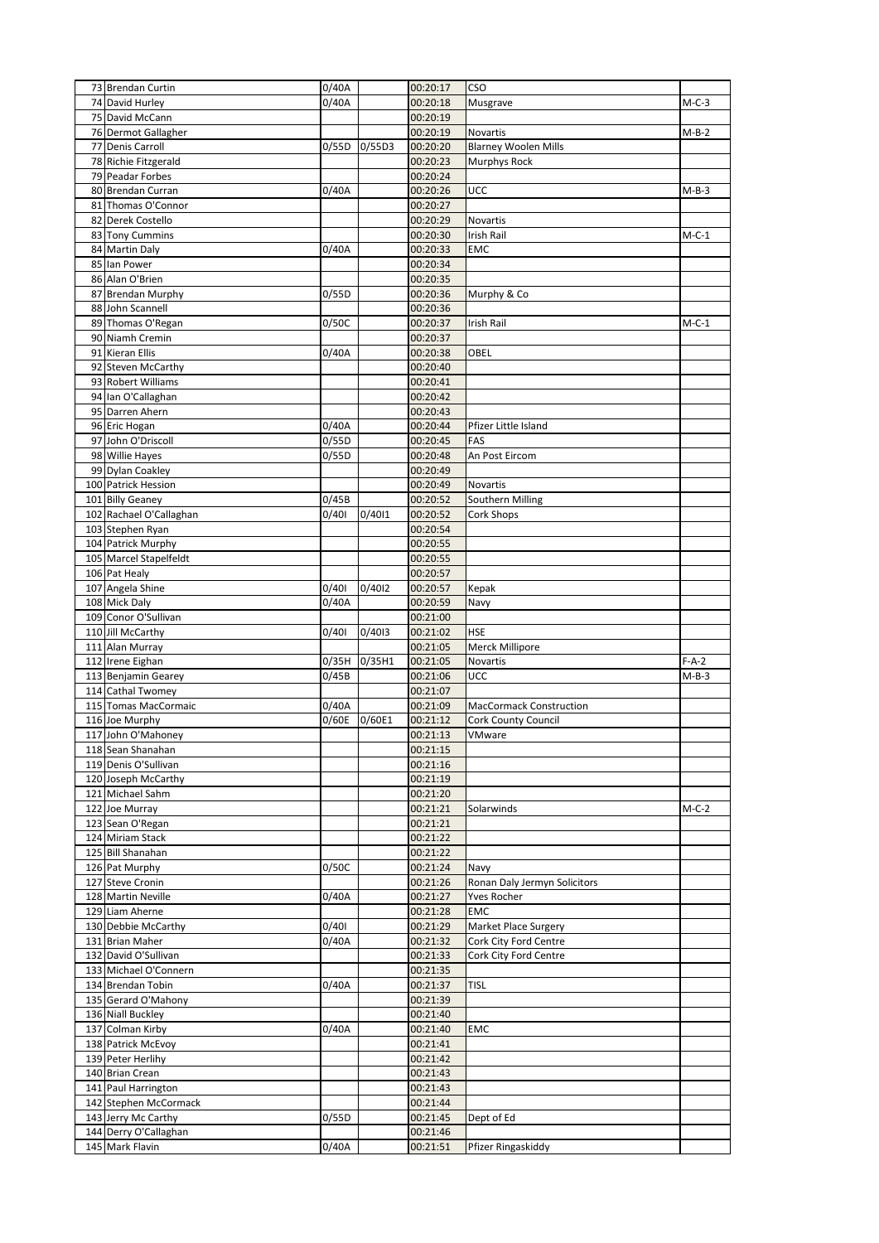| 73 Brendan Curtin                            | 0/40A          |        | 00:20:17             | <b>CSO</b>                     |         |
|----------------------------------------------|----------------|--------|----------------------|--------------------------------|---------|
| 74 David Hurley                              | 0/40A          |        | 00:20:18             | Musgrave                       | $M-C-3$ |
| 75 David McCann                              |                |        | 00:20:19             |                                |         |
| 76 Dermot Gallagher                          |                |        | 00:20:19             | Novartis                       | M-B-2   |
| 77 Denis Carroll                             | 0/55D          | 0/55D3 | 00:20:20             | <b>Blarney Woolen Mills</b>    |         |
| 78 Richie Fitzgerald<br>79 Peadar Forbes     |                |        | 00:20:23             | <b>Murphys Rock</b>            |         |
| 80 Brendan Curran                            | 0/40A          |        | 00:20:24<br>00:20:26 |                                |         |
| 81 Thomas O'Connor                           |                |        | 00:20:27             | <b>UCC</b>                     | $M-B-3$ |
| 82 Derek Costello                            |                |        | 00:20:29             | Novartis                       |         |
| 83 Tony Cummins                              |                |        | 00:20:30             | Irish Rail                     | $M-C-1$ |
| 84 Martin Daly                               | 0/40A          |        | 00:20:33             | EMC                            |         |
| 85 Ian Power                                 |                |        | 00:20:34             |                                |         |
| 86 Alan O'Brien                              |                |        | 00:20:35             |                                |         |
| 87 Brendan Murphy                            | 0/55D          |        | 00:20:36             | Murphy & Co                    |         |
| 88 John Scannell                             |                |        | 00:20:36             |                                |         |
| 89 Thomas O'Regan                            | 0/50C          |        | 00:20:37             | Irish Rail                     | $M-C-1$ |
| 90 Niamh Cremin                              |                |        | 00:20:37             |                                |         |
| 91 Kieran Ellis                              | 0/40A          |        | 00:20:38             | OBEL                           |         |
| 92 Steven McCarthy                           |                |        | 00:20:40             |                                |         |
| 93 Robert Williams                           |                |        | 00:20:41             |                                |         |
| 94 Ian O'Callaghan<br>95 Darren Ahern        |                |        | 00:20:42<br>00:20:43 |                                |         |
| 96 Eric Hogan                                | 0/40A          |        | 00:20:44             | Pfizer Little Island           |         |
| 97 John O'Driscoll                           | 0/55D          |        | 00:20:45             | FAS                            |         |
| 98 Willie Hayes                              | 0/55D          |        | 00:20:48             | An Post Eircom                 |         |
| 99 Dylan Coakley                             |                |        | 00:20:49             |                                |         |
| 100 Patrick Hession                          |                |        | 00:20:49             | Novartis                       |         |
| 101 Billy Geaney                             | 0/45B          |        | 00:20:52             | Southern Milling               |         |
| 102 Rachael O'Callaghan                      | 0/401          | 0/4011 | 00:20:52             | Cork Shops                     |         |
| 103 Stephen Ryan                             |                |        | 00:20:54             |                                |         |
| 104 Patrick Murphy                           |                |        | 00:20:55             |                                |         |
| 105 Marcel Stapelfeldt                       |                |        | 00:20:55             |                                |         |
| 106 Pat Healy                                |                |        | 00:20:57             |                                |         |
| 107 Angela Shine<br>108 Mick Daly            | 0/401<br>0/40A | 0/4012 | 00:20:57<br>00:20:59 | Kepak                          |         |
| 109 Conor O'Sullivan                         |                |        | 00:21:00             | Navy                           |         |
| 110 Jill McCarthy                            | 0/401          | 0/4013 | 00:21:02             | <b>HSE</b>                     |         |
| 111 Alan Murray                              |                |        | 00:21:05             | Merck Millipore                |         |
| 112 Irene Eighan                             | 0/35H          | 0/35H1 | 00:21:05             | Novartis                       | $F-A-2$ |
| 113 Benjamin Gearey                          | 0/45B          |        | 00:21:06             | <b>UCC</b>                     | $M-B-3$ |
| 114 Cathal Twomey                            |                |        | 00:21:07             |                                |         |
| 115 Tomas MacCormaic                         | 0/40A          |        | 00:21:09             | <b>MacCormack Construction</b> |         |
| 116 Joe Murphy                               | 0/60E          | 0/60E1 | 00:21:12             | <b>Cork County Council</b>     |         |
| 117 John O'Mahoney                           |                |        | 00:21:13             | VMware                         |         |
| 118 Sean Shanahan<br>119 Denis O'Sullivan    |                |        | 00:21:15<br>00:21:16 |                                |         |
| 120 Joseph McCarthy                          |                |        | 00:21:19             |                                |         |
| 121 Michael Sahm                             |                |        | 00:21:20             |                                |         |
| 122 Joe Murray                               |                |        | 00:21:21             | Solarwinds                     | $M-C-2$ |
| 123 Sean O'Regan                             |                |        | 00:21:21             |                                |         |
| 124 Miriam Stack                             |                |        | 00:21:22             |                                |         |
| 125 Bill Shanahan                            |                |        | 00:21:22             |                                |         |
| 126 Pat Murphy                               | 0/50C          |        | 00:21:24             | Navy                           |         |
| 127 Steve Cronin                             |                |        | 00:21:26             | Ronan Daly Jermyn Solicitors   |         |
| 128 Martin Neville<br>129 Liam Aherne        | 0/40A          |        | 00:21:27<br>00:21:28 | Yves Rocher<br><b>EMC</b>      |         |
| 130 Debbie McCarthy                          | 0/401          |        | 00:21:29             | Market Place Surgery           |         |
| 131 Brian Maher                              | 0/40A          |        | 00:21:32             | Cork City Ford Centre          |         |
| 132 David O'Sullivan                         |                |        | 00:21:33             | Cork City Ford Centre          |         |
| 133 Michael O'Connern                        |                |        | 00:21:35             |                                |         |
| 134 Brendan Tobin                            | 0/40A          |        | 00:21:37             | <b>TISL</b>                    |         |
| 135 Gerard O'Mahony                          |                |        | 00:21:39             |                                |         |
| 136 Niall Buckley                            |                |        | 00:21:40             |                                |         |
| 137 Colman Kirby                             | 0/40A          |        | 00:21:40             | EMC                            |         |
| 138 Patrick McEvoy                           |                |        | 00:21:41             |                                |         |
| 139 Peter Herlihy                            |                |        | 00:21:42             |                                |         |
| 140 Brian Crean                              |                |        | 00:21:43             |                                |         |
| 141 Paul Harrington                          |                |        | 00:21:43<br>00:21:44 |                                |         |
|                                              |                |        |                      |                                |         |
| 142 Stephen McCormack                        |                |        |                      |                                |         |
| 143 Jerry Mc Carthy<br>144 Derry O'Callaghan | 0/55D          |        | 00:21:45<br>00:21:46 | Dept of Ed                     |         |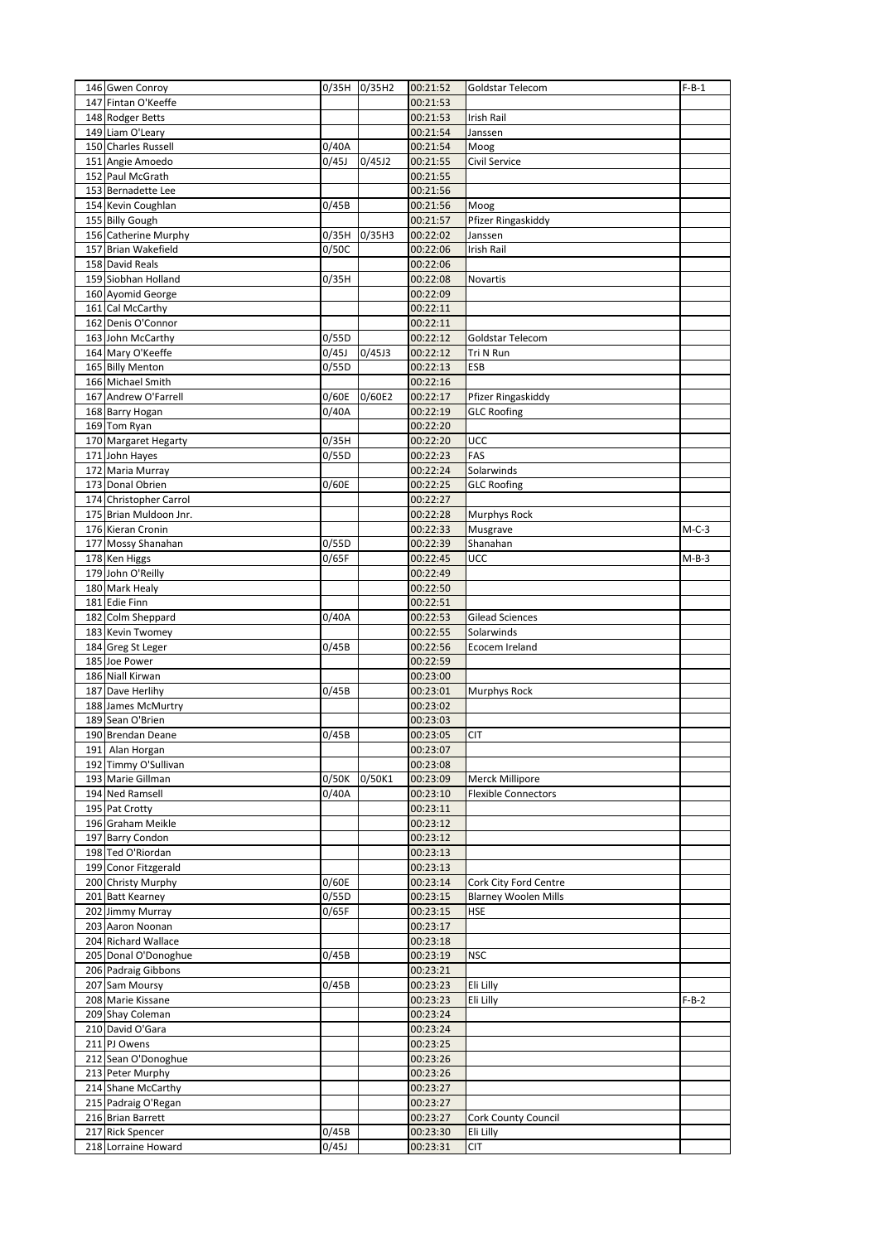| 146 Gwen Conroy                         | 0/35H 0/35H2   |        | 00:21:52             | Goldstar Telecom            | $F-B-1$ |
|-----------------------------------------|----------------|--------|----------------------|-----------------------------|---------|
| 147 Fintan O'Keeffe                     |                |        | 00:21:53             |                             |         |
| 148 Rodger Betts                        |                |        | 00:21:53             | Irish Rail                  |         |
| 149 Liam O'Leary                        |                |        | 00:21:54             | Janssen                     |         |
| 150 Charles Russell                     | 0/40A          |        | 00:21:54             | Moog                        |         |
| 151 Angie Amoedo                        | 0/45J          | 0/45J2 | 00:21:55             | Civil Service               |         |
| 152 Paul McGrath                        |                |        | 00:21:55             |                             |         |
| 153 Bernadette Lee                      |                |        | 00:21:56             |                             |         |
| 154 Kevin Coughlan                      | 0/45B          |        | 00:21:56             | Moog                        |         |
| 155 Billy Gough                         |                |        | 00:21:57             | Pfizer Ringaskiddy          |         |
| 156 Catherine Murphy                    | 0/35H          | 0/35H3 | 00:22:02             | Janssen                     |         |
| 157 Brian Wakefield                     | 0/50C          |        | 00:22:06             | Irish Rail                  |         |
| 158 David Reals                         |                |        | 00:22:06             |                             |         |
| 159 Siobhan Holland                     | 0/35H          |        | 00:22:08             | Novartis                    |         |
| 160 Ayomid George                       |                |        | 00:22:09             |                             |         |
| 161 Cal McCarthy                        |                |        | 00:22:11             |                             |         |
| 162 Denis O'Connor                      |                |        | 00:22:11             |                             |         |
| 163 John McCarthy                       | 0/55D          |        | 00:22:12             | Goldstar Telecom            |         |
| 164 Mary O'Keeffe                       | 0/45J          | 0/45J3 | 00:22:12             | Tri N Run                   |         |
| 165 Billy Menton                        | 0/55D          |        | 00:22:13             | ESB                         |         |
| 166 Michael Smith                       |                |        | 00:22:16             |                             |         |
| 167 Andrew O'Farrell                    | 0/60E          | 0/60E2 | 00:22:17             | Pfizer Ringaskiddy          |         |
| 168 Barry Hogan                         | 0/40A          |        | 00:22:19             | <b>GLC Roofing</b>          |         |
| 169 Tom Ryan                            |                |        | 00:22:20             |                             |         |
| 170 Margaret Hegarty                    | 0/35H          |        | 00:22:20             | UCC                         |         |
| 171 John Hayes                          | 0/55D          |        | 00:22:23             | FAS                         |         |
| 172 Maria Murray                        |                |        | 00:22:24             | Solarwinds                  |         |
| 173 Donal Obrien                        | 0/60E          |        | 00:22:25             | <b>GLC Roofing</b>          |         |
| 174 Christopher Carrol                  |                |        | 00:22:27             |                             |         |
| 175 Brian Muldoon Jnr.                  |                |        | 00:22:28             | Murphys Rock                |         |
| 176 Kieran Cronin                       |                |        | 00:22:33             | Musgrave                    | $M-C-3$ |
| 177 Mossy Shanahan                      | 0/55D          |        | 00:22:39             | Shanahan                    |         |
| 178 Ken Higgs                           | 0/65F          |        | 00:22:45             | UCC                         | $M-B-3$ |
| 179 John O'Reilly                       |                |        | 00:22:49             |                             |         |
| 180 Mark Healy                          |                |        | 00:22:50             |                             |         |
| 181 Edie Finn                           |                |        | 00:22:51             |                             |         |
| 182 Colm Sheppard                       | 0/40A          |        | 00:22:53             | <b>Gilead Sciences</b>      |         |
| 183 Kevin Twomey                        |                |        | 00:22:55             | Solarwinds                  |         |
| 184 Greg St Leger                       | 0/45B          |        | 00:22:56             | Ecocem Ireland              |         |
| 185 Joe Power                           |                |        | 00:22:59             |                             |         |
| 186 Niall Kirwan                        |                |        | 00:23:00             |                             |         |
| 187 Dave Herlihy                        | 0/45B          |        | 00:23:01             | Murphys Rock                |         |
| 188 James McMurtry                      |                |        | 00:23:02             |                             |         |
| 189 Sean O'Brien                        |                |        | 00:23:03             |                             |         |
| 190 Brendan Deane                       | 0/45B          |        | 00:23:05             | <b>CIT</b>                  |         |
| 191 Alan Horgan                         |                |        | 00:23:07             |                             |         |
| 192 Timmy O'Sullivan                    |                |        | 00:23:08             |                             |         |
| 193 Marie Gillman                       | 0/50K          | 0/50K1 | 00:23:09             | Merck Millipore             |         |
| 194 Ned Ramsell                         | 0/40A          |        | 00:23:10             | <b>Flexible Connectors</b>  |         |
| 195 Pat Crotty                          |                |        | 00:23:11             |                             |         |
| 196 Graham Meikle                       |                |        | 00:23:12             |                             |         |
| 197 Barry Condon                        |                |        | 00:23:12             |                             |         |
| 198 Ted O'Riordan                       |                |        | 00:23:13             |                             |         |
| 199 Conor Fitzgerald                    |                |        | 00:23:13             |                             |         |
| 200 Christy Murphy                      | 0/60E          |        | 00:23:14             | Cork City Ford Centre       |         |
| 201 Batt Kearney                        | 0/55D          |        | 00:23:15             | <b>Blarney Woolen Mills</b> |         |
| 202 Jimmy Murray                        | 0/65F          |        | 00:23:15             | <b>HSE</b>                  |         |
| 203 Aaron Noonan                        |                |        | 00:23:17             |                             |         |
| 204 Richard Wallace                     |                |        | 00:23:18             |                             |         |
| 205 Donal O'Donoghue                    | 0/45B          |        | 00:23:19             | <b>NSC</b>                  |         |
| 206 Padraig Gibbons                     |                |        | 00:23:21             |                             |         |
| 207 Sam Moursy                          | 0/45B          |        | 00:23:23             | Eli Lilly                   |         |
| 208 Marie Kissane                       |                |        | 00:23:23             | Eli Lilly                   | $F-B-2$ |
| 209 Shay Coleman                        |                |        | 00:23:24             |                             |         |
| 210 David O'Gara                        |                |        | 00:23:24             |                             |         |
| 211 PJ Owens                            |                |        | 00:23:25             |                             |         |
|                                         |                |        | 00:23:26             |                             |         |
|                                         |                |        |                      |                             |         |
| 212 Sean O'Donoghue                     |                |        |                      |                             |         |
| 213 Peter Murphy                        |                |        | 00:23:26             |                             |         |
| 214 Shane McCarthy                      |                |        | 00:23:27             |                             |         |
| 215 Padraig O'Regan                     |                |        | 00:23:27             |                             |         |
| 216 Brian Barrett                       |                |        | 00:23:27             | Cork County Council         |         |
| 217 Rick Spencer<br>218 Lorraine Howard | 0/45B<br>0/45J |        | 00:23:30<br>00:23:31 | Eli Lilly<br><b>CIT</b>     |         |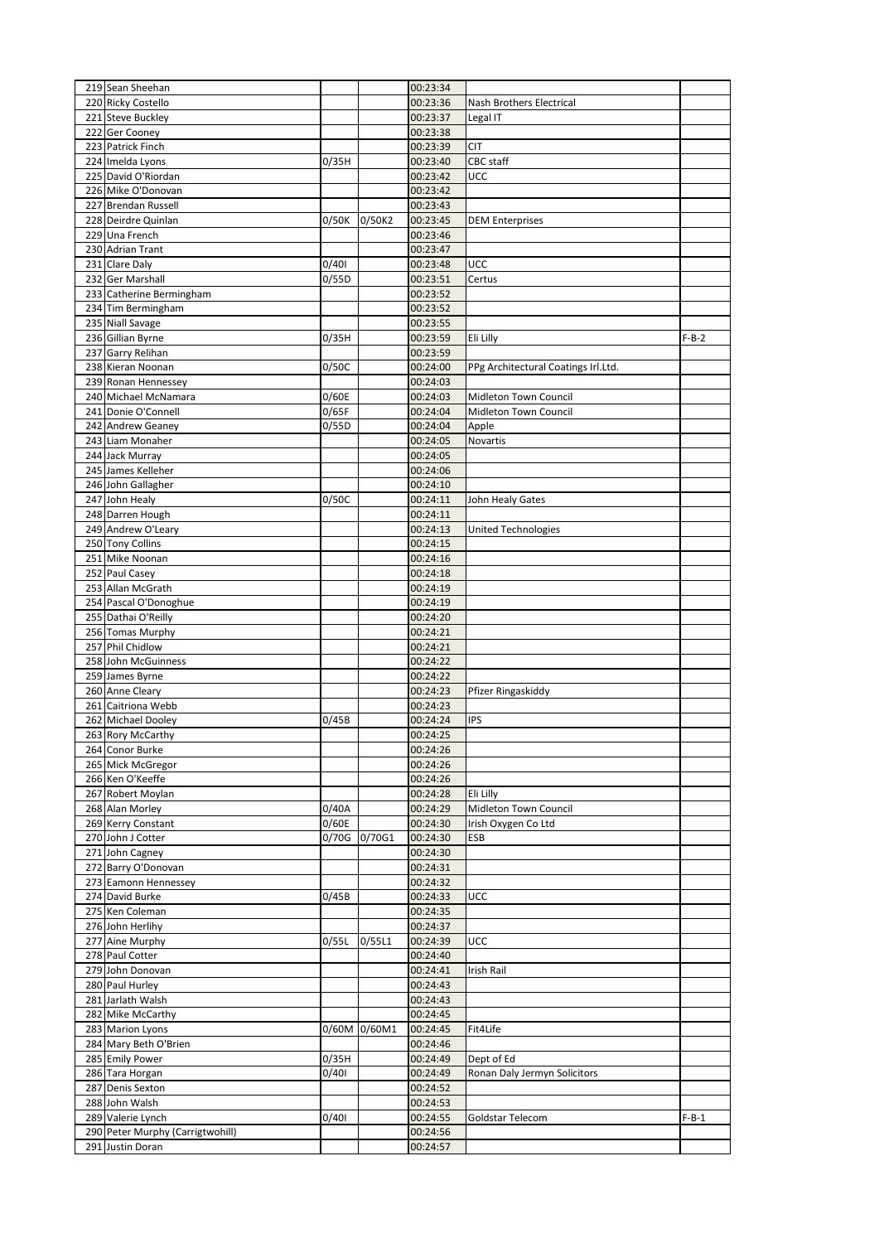| 219 Sean Sheehan                        |                |              | 00:23:34             |                                     |         |
|-----------------------------------------|----------------|--------------|----------------------|-------------------------------------|---------|
| 220 Ricky Costello                      |                |              | 00:23:36             | Nash Brothers Electrical            |         |
| 221 Steve Buckley                       |                |              | 00:23:37             | Legal IT                            |         |
| 222 Ger Cooney                          |                |              | 00:23:38             |                                     |         |
| 223 Patrick Finch                       |                |              | 00:23:39             | <b>CIT</b>                          |         |
| 224 Imelda Lyons                        | 0/35H          |              | 00:23:40             | CBC staff                           |         |
| 225 David O'Riordan                     |                |              | 00:23:42             | UCC                                 |         |
| 226 Mike O'Donovan                      |                |              | 00:23:42             |                                     |         |
| 227 Brendan Russell                     |                |              | 00:23:43             |                                     |         |
| 228 Deirdre Quinlan                     | 0/50K          | 0/50K2       | 00:23:45             | <b>DEM Enterprises</b>              |         |
| 229 Una French                          |                |              | 00:23:46             |                                     |         |
| 230 Adrian Trant                        |                |              | 00:23:47             |                                     |         |
| 231 Clare Daly                          | 0/401          |              | 00:23:48             | UCC                                 |         |
| 232 Ger Marshall                        | 0/55D          |              | 00:23:51             | Certus                              |         |
| 233 Catherine Bermingham                |                |              | 00:23:52             |                                     |         |
| 234 Tim Bermingham                      |                |              | 00:23:52             |                                     |         |
| 235 Niall Savage                        |                |              | 00:23:55             |                                     |         |
| 236 Gillian Byrne                       | 0/35H          |              | 00:23:59             | Eli Lilly                           | $F-B-2$ |
| 237 Garry Relihan                       |                |              | 00:23:59             |                                     |         |
| 238 Kieran Noonan                       | 0/50C          |              | 00:24:00             | PPg Architectural Coatings Irl.Ltd. |         |
| 239 Ronan Hennessey                     |                |              | 00:24:03             |                                     |         |
| 240 Michael McNamara                    | 0/60E          |              | 00:24:03             | Midleton Town Council               |         |
| 241 Donie O'Connell                     | 0/65F          |              | 00:24:04             | Midleton Town Council               |         |
| 242 Andrew Geaney                       | 0/55D          |              | 00:24:04             | Apple                               |         |
| 243 Liam Monaher                        |                |              | 00:24:05             | Novartis                            |         |
| 244 Jack Murray                         |                |              | 00:24:05             |                                     |         |
| 245 James Kelleher                      |                |              | 00:24:06             |                                     |         |
| 246 John Gallagher                      |                |              | 00:24:10             |                                     |         |
| 247 John Healv                          | 0/50C          |              | 00:24:11             | John Healy Gates                    |         |
| 248 Darren Hough                        |                |              | 00:24:11             |                                     |         |
| 249 Andrew O'Leary                      |                |              | 00:24:13             | United Technologies                 |         |
| 250 Tony Collins                        |                |              | 00:24:15             |                                     |         |
| 251 Mike Noonan                         |                |              | 00:24:16             |                                     |         |
| 252 Paul Casey                          |                |              | 00:24:18             |                                     |         |
| 253 Allan McGrath                       |                |              | 00:24:19             |                                     |         |
| 254 Pascal O'Donoghue                   |                |              | 00:24:19             |                                     |         |
| 255 Dathai O'Reilly                     |                |              | 00:24:20             |                                     |         |
| 256 Tomas Murphy                        |                |              | 00:24:21             |                                     |         |
| 257 Phil Chidlow                        |                |              | 00:24:21             |                                     |         |
| 258 John McGuinness                     |                |              | 00:24:22             |                                     |         |
| 259 James Byrne                         |                |              | 00:24:22             |                                     |         |
| 260 Anne Cleary                         |                |              | 00:24:23             | Pfizer Ringaskiddy                  |         |
| 261 Caitriona Webb                      |                |              | 00:24:23             |                                     |         |
| 262 Michael Dooley                      | 0/45B          |              | 00:24:24             | IPS                                 |         |
| 263 Rory McCarthy                       |                |              | 00:24:25             |                                     |         |
| 264 Conor Burke                         |                |              | 00:24:26             |                                     |         |
| 265 Mick McGregor                       |                |              | 00:24:26             |                                     |         |
| 266 Ken O'Keeffe                        |                |              | 00:24:26             |                                     |         |
| 267 Robert Moylan                       |                |              | 00:24:28             | Eli Lilly                           |         |
| 268 Alan Morley                         | 0/40A          |              | 00:24:29             | Midleton Town Council               |         |
| 269 Kerry Constant<br>270 John J Cotter | 0/60E<br>0/70G | 0/70G1       | 00:24:30<br>00:24:30 | Irish Oxygen Co Ltd<br>ESB          |         |
|                                         |                |              |                      |                                     |         |
| 271 John Cagney<br>272 Barry O'Donovan  |                |              | 00:24:30<br>00:24:31 |                                     |         |
| 273 Eamonn Hennessey                    |                |              | 00:24:32             |                                     |         |
| 274 David Burke                         | 0/45B          |              | 00:24:33             | UCC                                 |         |
| 275 Ken Coleman                         |                |              | 00:24:35             |                                     |         |
| 276 John Herlihy                        |                |              | 00:24:37             |                                     |         |
| 277 Aine Murphy                         | 0/55L          | 0/55L1       | 00:24:39             | UCC                                 |         |
| 278 Paul Cotter                         |                |              | 00:24:40             |                                     |         |
| 279 John Donovan                        |                |              | 00:24:41             | Irish Rail                          |         |
| 280 Paul Hurley                         |                |              | 00:24:43             |                                     |         |
| 281 Jarlath Walsh                       |                |              | 00:24:43             |                                     |         |
| 282 Mike McCarthy                       |                |              | 00:24:45             |                                     |         |
| 283 Marion Lyons                        |                | 0/60M 0/60M1 | 00:24:45             | Fit4Life                            |         |
| 284 Mary Beth O'Brien                   |                |              | 00:24:46             |                                     |         |
| 285 Emily Power                         | 0/35H          |              | 00:24:49             | Dept of Ed                          |         |
| 286 Tara Horgan                         | 0/401          |              | 00:24:49             | Ronan Daly Jermyn Solicitors        |         |
| 287 Denis Sexton                        |                |              | 00:24:52             |                                     |         |
| 288 John Walsh                          |                |              | 00:24:53             |                                     |         |
| 289 Valerie Lynch                       | 0/401          |              | 00:24:55             | Goldstar Telecom                    | $F-B-1$ |
| 290 Peter Murphy (Carrigtwohill)        |                |              | 00:24:56             |                                     |         |
| 291 Justin Doran                        |                |              | 00:24:57             |                                     |         |
|                                         |                |              |                      |                                     |         |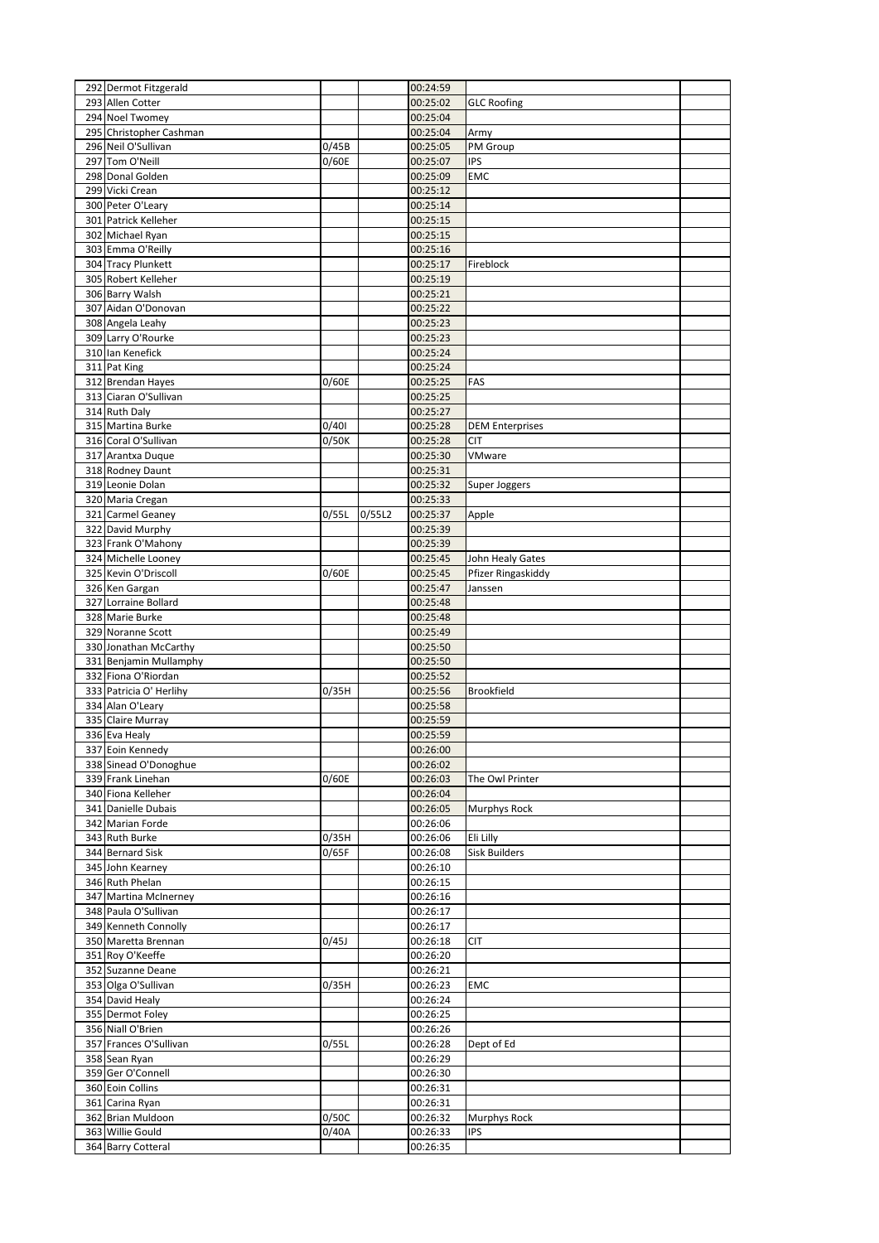| 292 Dermot Fitzgerald                       |       |        | 00:24:59             |                        |  |
|---------------------------------------------|-------|--------|----------------------|------------------------|--|
| 293 Allen Cotter                            |       |        | 00:25:02             | <b>GLC Roofing</b>     |  |
| 294 Noel Twomey                             |       |        | 00:25:04             |                        |  |
| 295 Christopher Cashman                     |       |        | 00:25:04             | Army                   |  |
| 296 Neil O'Sullivan                         | 0/45B |        | 00:25:05             | PM Group               |  |
| 297 Tom O'Neill                             | 0/60E |        | 00:25:07             | <b>IPS</b>             |  |
| 298 Donal Golden                            |       |        | 00:25:09             | <b>EMC</b>             |  |
| 299 Vicki Crean                             |       |        | 00:25:12             |                        |  |
| 300 Peter O'Leary                           |       |        | 00:25:14             |                        |  |
| 301 Patrick Kelleher                        |       |        | 00:25:15             |                        |  |
| 302 Michael Ryan                            |       |        | 00:25:15             |                        |  |
| 303 Emma O'Reilly                           |       |        | 00:25:16             |                        |  |
| 304 Tracy Plunkett<br>305 Robert Kelleher   |       |        | 00:25:17<br>00:25:19 | Fireblock              |  |
| 306 Barry Walsh                             |       |        | 00:25:21             |                        |  |
| 307 Aidan O'Donovan                         |       |        | 00:25:22             |                        |  |
| 308 Angela Leahy                            |       |        | 00:25:23             |                        |  |
| 309 Larry O'Rourke                          |       |        | 00:25:23             |                        |  |
| 310 Ian Kenefick                            |       |        | 00:25:24             |                        |  |
| 311 Pat King                                |       |        | 00:25:24             |                        |  |
| 312 Brendan Hayes                           | 0/60E |        | 00:25:25             | FAS                    |  |
| 313 Ciaran O'Sullivan                       |       |        | 00:25:25             |                        |  |
| 314 Ruth Daly                               |       |        | 00:25:27             |                        |  |
| 315 Martina Burke                           | 0/401 |        | 00:25:28             | <b>DEM Enterprises</b> |  |
| 316 Coral O'Sullivan                        | 0/50K |        | 00:25:28             | <b>CIT</b>             |  |
| 317 Arantxa Duque                           |       |        | 00:25:30             | VMware                 |  |
| 318 Rodney Daunt                            |       |        | 00:25:31             |                        |  |
| 319 Leonie Dolan                            |       |        | 00:25:32             | Super Joggers          |  |
| 320 Maria Cregan                            |       |        | 00:25:33             |                        |  |
| 321 Carmel Geaney                           | 0/55L | 0/55L2 | 00:25:37             | Apple                  |  |
| 322 David Murphy                            |       |        | 00:25:39             |                        |  |
| 323 Frank O'Mahony                          |       |        | 00:25:39             |                        |  |
| 324 Michelle Looney                         |       |        | 00:25:45             | John Healy Gates       |  |
| 325 Kevin O'Driscoll                        | 0/60E |        | 00:25:45             | Pfizer Ringaskiddy     |  |
| 326 Ken Gargan                              |       |        | 00:25:47             | Janssen                |  |
| 327 Lorraine Bollard<br>328 Marie Burke     |       |        | 00:25:48             |                        |  |
| 329 Noranne Scott                           |       |        | 00:25:48<br>00:25:49 |                        |  |
| 330 Jonathan McCarthy                       |       |        | 00:25:50             |                        |  |
| 331 Benjamin Mullamphy                      |       |        | 00:25:50             |                        |  |
| 332 Fiona O'Riordan                         |       |        | 00:25:52             |                        |  |
| 333 Patricia O' Herlihy                     | 0/35H |        | 00:25:56             | Brookfield             |  |
| 334 Alan O'Leary                            |       |        | 00:25:58             |                        |  |
| 335 Claire Murray                           |       |        | 00:25:59             |                        |  |
| 336 Eva Healy                               |       |        | 00:25:59             |                        |  |
| 337 Eoin Kennedy                            |       |        | 00:26:00             |                        |  |
| 338 Sinead O'Donoghue                       |       |        | 00:26:02             |                        |  |
| 339 Frank Linehan                           | 0/60E |        | 00:26:03             | The Owl Printer        |  |
| 340 Fiona Kelleher                          |       |        | 00:26:04             |                        |  |
| 341 Danielle Dubais                         |       |        | 00:26:05             | Murphys Rock           |  |
| 342 Marian Forde                            |       |        | 00:26:06             |                        |  |
| 343 Ruth Burke                              | 0/35H |        | 00:26:06             | Eli Lilly              |  |
| 344 Bernard Sisk                            | 0/65F |        | 00:26:08             | <b>Sisk Builders</b>   |  |
| 345 John Kearney                            |       |        | 00:26:10             |                        |  |
| 346 Ruth Phelan                             |       |        | 00:26:15             |                        |  |
| 347 Martina McInerney                       |       |        | 00:26:16             |                        |  |
| 348 Paula O'Sullivan                        |       |        | 00:26:17             |                        |  |
| 349 Kenneth Connolly<br>350 Maretta Brennan | 0/45J |        | 00:26:17<br>00:26:18 | <b>CIT</b>             |  |
| 351 Roy O'Keeffe                            |       |        | 00:26:20             |                        |  |
| 352 Suzanne Deane                           |       |        | 00:26:21             |                        |  |
| 353 Olga O'Sullivan                         | 0/35H |        | 00:26:23             | EMC                    |  |
| 354 David Healy                             |       |        | 00:26:24             |                        |  |
| 355 Dermot Foley                            |       |        | 00:26:25             |                        |  |
| 356 Niall O'Brien                           |       |        | 00:26:26             |                        |  |
| 357 Frances O'Sullivan                      | 0/55L |        | 00:26:28             | Dept of Ed             |  |
| 358 Sean Ryan                               |       |        | 00:26:29             |                        |  |
| 359 Ger O'Connell                           |       |        | 00:26:30             |                        |  |
| 360 Eoin Collins                            |       |        | 00:26:31             |                        |  |
| 361 Carina Ryan                             |       |        | 00:26:31             |                        |  |
| 362 Brian Muldoon                           | 0/50C |        | 00:26:32             | Murphys Rock           |  |
| 363 Willie Gould                            | 0/40A |        | 00:26:33             | IPS                    |  |
| 364 Barry Cotteral                          |       |        | 00:26:35             |                        |  |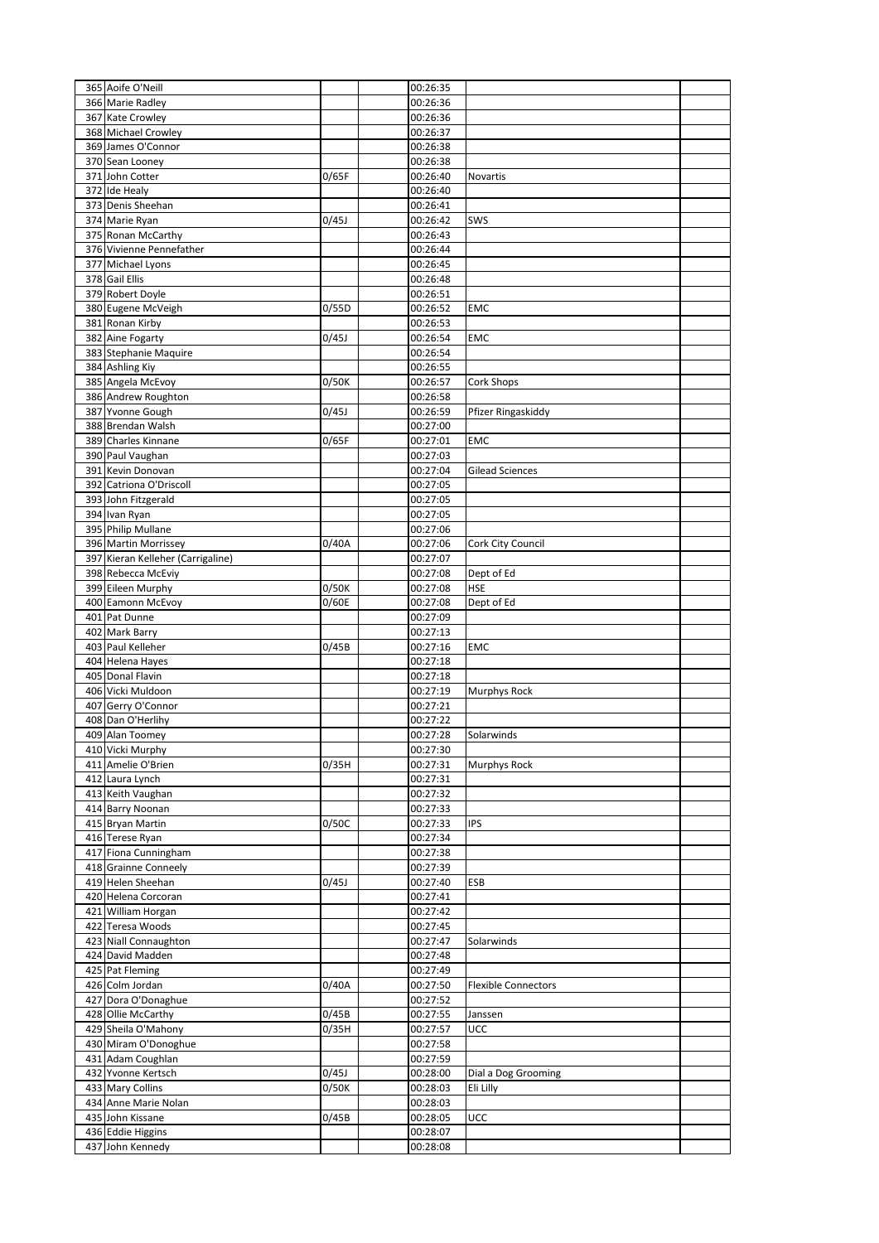| 365 Aoife O'Neill                      |       | 00:26:35             |                            |  |
|----------------------------------------|-------|----------------------|----------------------------|--|
| 366 Marie Radley                       |       | 00:26:36             |                            |  |
| 367 Kate Crowley                       |       | 00:26:36             |                            |  |
| 368 Michael Crowley                    |       | 00:26:37             |                            |  |
| 369 James O'Connor                     |       | 00:26:38             |                            |  |
| 370 Sean Looney<br>371 John Cotter     |       | 00:26:38             |                            |  |
| 372 Ide Healy                          | 0/65F | 00:26:40<br>00:26:40 | Novartis                   |  |
| 373 Denis Sheehan                      |       | 00:26:41             |                            |  |
| 374 Marie Ryan                         | 0/45J | 00:26:42             | SWS                        |  |
| 375 Ronan McCarthy                     |       | 00:26:43             |                            |  |
| 376 Vivienne Pennefather               |       | 00:26:44             |                            |  |
| 377 Michael Lyons                      |       | 00:26:45             |                            |  |
| 378 Gail Ellis                         |       | 00:26:48             |                            |  |
| 379 Robert Doyle                       |       | 00:26:51             |                            |  |
| 380 Eugene McVeigh                     | 0/55D | 00:26:52             | <b>EMC</b>                 |  |
| 381 Ronan Kirby                        |       | 00:26:53             |                            |  |
| 382 Aine Fogarty                       | 0/45J | 00:26:54             | EMC                        |  |
| 383 Stephanie Maquire                  |       | 00:26:54             |                            |  |
| 384 Ashling Kiy                        |       | 00:26:55             |                            |  |
| 385 Angela McEvoy                      | 0/50K | 00:26:57             | Cork Shops                 |  |
| 386 Andrew Roughton                    |       | 00:26:58             |                            |  |
| 387 Yvonne Gough<br>388 Brendan Walsh  | 0/45J | 00:26:59<br>00:27:00 | Pfizer Ringaskiddy         |  |
| 389 Charles Kinnane                    | 0/65F | 00:27:01             | <b>EMC</b>                 |  |
| 390 Paul Vaughan                       |       | 00:27:03             |                            |  |
| 391 Kevin Donovan                      |       | 00:27:04             | <b>Gilead Sciences</b>     |  |
| 392 Catriona O'Driscoll                |       | 00:27:05             |                            |  |
| 393 John Fitzgerald                    |       | 00:27:05             |                            |  |
| 394 Ivan Ryan                          |       | 00:27:05             |                            |  |
| 395 Philip Mullane                     |       | 00:27:06             |                            |  |
| 396 Martin Morrissey                   | 0/40A | 00:27:06             | Cork City Council          |  |
| 397 Kieran Kelleher (Carrigaline)      |       | 00:27:07             |                            |  |
| 398 Rebecca McEviy                     |       | 00:27:08             | Dept of Ed                 |  |
| 399 Eileen Murphy                      | 0/50K | 00:27:08             | <b>HSE</b>                 |  |
| 400 Eamonn McEvoy                      | 0/60E | 00:27:08             | Dept of Ed                 |  |
| 401 Pat Dunne                          |       | 00:27:09             |                            |  |
| 402 Mark Barry                         |       | 00:27:13             |                            |  |
| 403 Paul Kelleher                      | 0/45B | 00:27:16             | EMC                        |  |
| 404 Helena Hayes                       |       | 00:27:18             |                            |  |
| 405 Donal Flavin<br>406 Vicki Muldoon  |       | 00:27:18<br>00:27:19 |                            |  |
| 407 Gerry O'Connor                     |       | 00:27:21             | Murphys Rock               |  |
| 408 Dan O'Herlihy                      |       | 00:27:22             |                            |  |
| 409 Alan Toomey                        |       | 00:27:28             | Solarwinds                 |  |
| 410 Vicki Murphy                       |       | 00:27:30             |                            |  |
| 411 Amelie O'Brien                     | 0/35H |                      |                            |  |
|                                        |       | 00:27:31             | Murphys Rock               |  |
| 412 Laura Lynch                        |       | 00:27:31             |                            |  |
| 413 Keith Vaughan                      |       | 00:27:32             |                            |  |
| 414 Barry Noonan                       |       | 00:27:33             |                            |  |
| 415 Bryan Martin                       | 0/50C | 00:27:33             | <b>IPS</b>                 |  |
| 416 Terese Ryan                        |       | 00:27:34             |                            |  |
| 417 Fiona Cunningham                   |       | 00:27:38             |                            |  |
| 418 Grainne Conneely                   |       | 00:27:39             |                            |  |
| 419 Helen Sheehan                      | 0/45J | 00:27:40             | ESB                        |  |
| 420 Helena Corcoran                    |       | 00:27:41             |                            |  |
| 421 William Horgan                     |       | 00:27:42             |                            |  |
| 422 Teresa Woods                       |       | 00:27:45             |                            |  |
| 423 Niall Connaughton                  |       | 00:27:47             | Solarwinds                 |  |
| 424 David Madden                       |       | 00:27:48<br>00:27:49 |                            |  |
| 425 Pat Fleming                        | 0/40A |                      | <b>Flexible Connectors</b> |  |
| 426 Colm Jordan<br>427 Dora O'Donaghue |       | 00:27:50<br>00:27:52 |                            |  |
| 428 Ollie McCarthy                     | 0/45B | 00:27:55             | Janssen                    |  |
| 429 Sheila O'Mahony                    | 0/35H | 00:27:57             | <b>UCC</b>                 |  |
| 430 Miram O'Donoghue                   |       | 00:27:58             |                            |  |
| 431 Adam Coughlan                      |       | 00:27:59             |                            |  |
| 432 Yvonne Kertsch                     | 0/45J | 00:28:00             | Dial a Dog Grooming        |  |
| 433 Mary Collins                       | 0/50K | 00:28:03             | Eli Lilly                  |  |
| 434 Anne Marie Nolan                   |       | 00:28:03             |                            |  |
| 435 John Kissane                       | 0/45B | 00:28:05             | <b>UCC</b>                 |  |
| 436 Eddie Higgins<br>437 John Kennedy  |       | 00:28:07<br>00:28:08 |                            |  |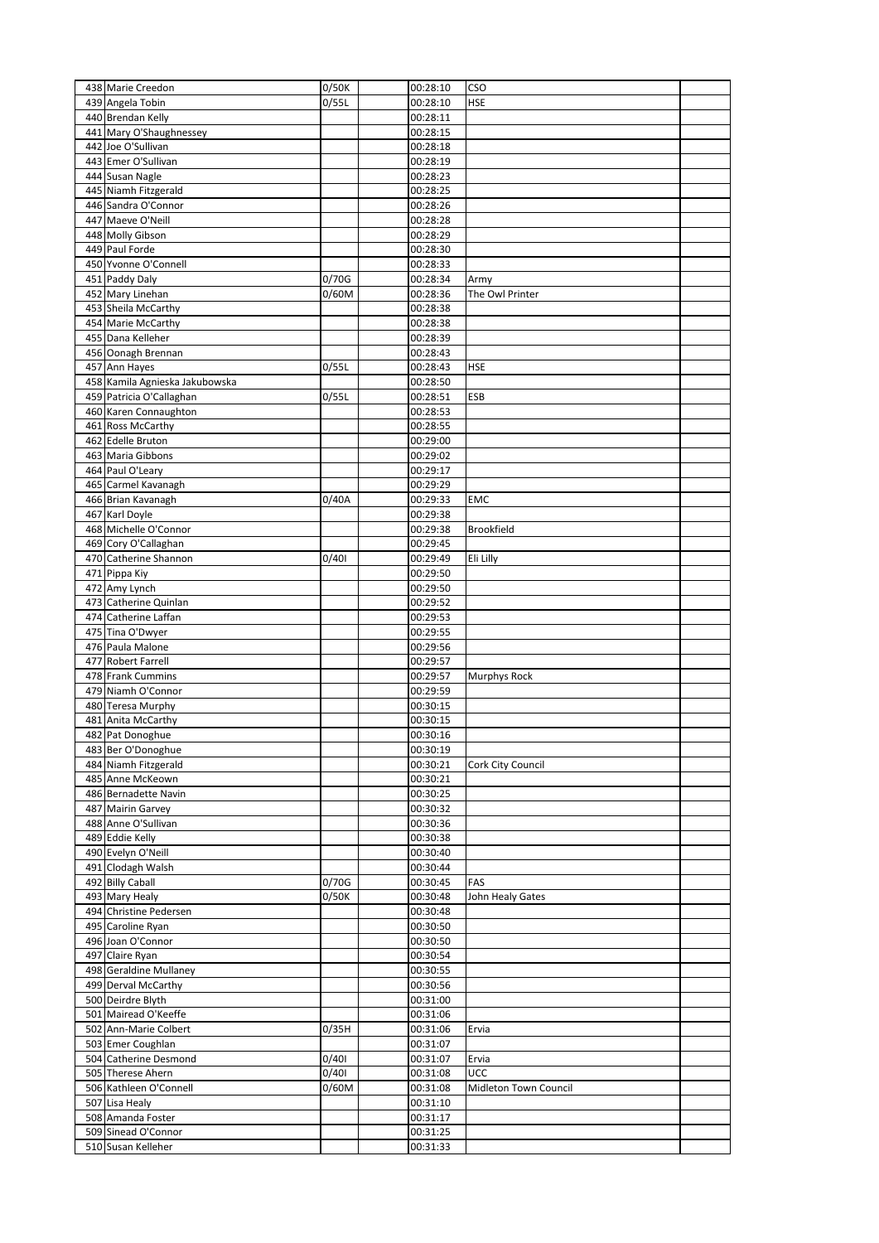| 438 Marie Creedon                             | 0/50K | 00:28:10             | <b>CSO</b>            |  |
|-----------------------------------------------|-------|----------------------|-----------------------|--|
| 439 Angela Tobin                              | 0/55L | 00:28:10             | <b>HSE</b>            |  |
| 440 Brendan Kelly                             |       | 00:28:11             |                       |  |
| 441 Mary O'Shaughnessey                       |       | 00:28:15             |                       |  |
| 442 Joe O'Sullivan                            |       | 00:28:18             |                       |  |
| 443 Emer O'Sullivan                           |       | 00:28:19             |                       |  |
| 444 Susan Nagle                               |       | 00:28:23             |                       |  |
| 445 Niamh Fitzgerald                          |       | 00:28:25             |                       |  |
| 446 Sandra O'Connor                           |       | 00:28:26             |                       |  |
| 447 Maeve O'Neill                             |       | 00:28:28             |                       |  |
| 448 Molly Gibson                              |       | 00:28:29             |                       |  |
| 449 Paul Forde<br>450 Yvonne O'Connell        |       | 00:28:30             |                       |  |
| 451 Paddy Daly                                | 0/70G | 00:28:33<br>00:28:34 | Army                  |  |
| 452 Mary Linehan                              | 0/60M | 00:28:36             | The Owl Printer       |  |
| 453 Sheila McCarthy                           |       | 00:28:38             |                       |  |
| 454 Marie McCarthy                            |       | 00:28:38             |                       |  |
| 455 Dana Kelleher                             |       | 00:28:39             |                       |  |
| 456 Oonagh Brennan                            |       | 00:28:43             |                       |  |
| 457 Ann Hayes                                 | 0/55L | 00:28:43             | <b>HSE</b>            |  |
| 458 Kamila Agnieska Jakubowska                |       | 00:28:50             |                       |  |
| 459 Patricia O'Callaghan                      | 0/55L | 00:28:51             | ESB                   |  |
| 460 Karen Connaughton                         |       | 00:28:53             |                       |  |
| 461 Ross McCarthy                             |       | 00:28:55             |                       |  |
| 462 Edelle Bruton                             |       | 00:29:00             |                       |  |
| 463 Maria Gibbons                             |       | 00:29:02             |                       |  |
| 464 Paul O'Leary                              |       | 00:29:17             |                       |  |
| 465 Carmel Kavanagh                           |       | 00:29:29             |                       |  |
| 466 Brian Kavanagh                            | 0/40A | 00:29:33             | <b>EMC</b>            |  |
| 467 Karl Doyle                                |       | 00:29:38             |                       |  |
| 468 Michelle O'Connor                         |       | 00:29:38             | Brookfield            |  |
| 469 Cory O'Callaghan                          |       | 00:29:45             |                       |  |
| 470 Catherine Shannon                         | 0/401 | 00:29:49             | Eli Lilly             |  |
| 471 Pippa Kiy<br>472 Amy Lynch                |       | 00:29:50             |                       |  |
|                                               |       | 00:29:50             |                       |  |
| 473 Catherine Quinlan<br>474 Catherine Laffan |       | 00:29:52<br>00:29:53 |                       |  |
| 475 Tina O'Dwyer                              |       | 00:29:55             |                       |  |
| 476 Paula Malone                              |       | 00:29:56             |                       |  |
| 477 Robert Farrell                            |       | 00:29:57             |                       |  |
| 478 Frank Cummins                             |       | 00:29:57             | <b>Murphys Rock</b>   |  |
| 479 Niamh O'Connor                            |       | 00:29:59             |                       |  |
| 480 Teresa Murphy                             |       | 00:30:15             |                       |  |
| 481 Anita McCarthy                            |       | 00:30:15             |                       |  |
| 482 Pat Donoghue                              |       | 00:30:16             |                       |  |
| 483 Ber O'Donoghue                            |       | 00:30:19             |                       |  |
| 484 Niamh Fitzgerald                          |       | 00:30:21             | Cork City Council     |  |
| 485 Anne McKeown                              |       | 00:30:21             |                       |  |
| 486 Bernadette Navin                          |       | 00:30:25             |                       |  |
| 487 Mairin Garvey                             |       | 00:30:32             |                       |  |
| 488 Anne O'Sullivan                           |       | 00:30:36             |                       |  |
| 489 Eddie Kelly                               |       | 00:30:38             |                       |  |
| 490 Evelyn O'Neill                            |       | 00:30:40             |                       |  |
| 491 Clodagh Walsh<br>492 Billy Caball         | 0/70G | 00:30:44<br>00:30:45 | FAS                   |  |
| 493 Mary Healy                                | 0/50K | 00:30:48             | John Healy Gates      |  |
| 494 Christine Pedersen                        |       | 00:30:48             |                       |  |
| 495 Caroline Ryan                             |       | 00:30:50             |                       |  |
| 496 Joan O'Connor                             |       | 00:30:50             |                       |  |
| 497 Claire Ryan                               |       | 00:30:54             |                       |  |
| 498 Geraldine Mullaney                        |       | 00:30:55             |                       |  |
| 499 Derval McCarthy                           |       | 00:30:56             |                       |  |
| 500 Deirdre Blyth                             |       | 00:31:00             |                       |  |
| 501 Mairead O'Keeffe                          |       | 00:31:06             |                       |  |
| 502 Ann-Marie Colbert                         | 0/35H | 00:31:06             | Ervia                 |  |
| 503 Emer Coughlan                             |       | 00:31:07             |                       |  |
| 504 Catherine Desmond                         | 0/401 | 00:31:07             | Ervia                 |  |
| 505 Therese Ahern                             | 0/401 | 00:31:08             | UCC                   |  |
| 506 Kathleen O'Connell                        | 0/60M | 00:31:08             | Midleton Town Council |  |
| 507 Lisa Healy                                |       | 00:31:10             |                       |  |
| 508 Amanda Foster                             |       | 00:31:17             |                       |  |
| 509 Sinead O'Connor                           |       | 00:31:25             |                       |  |
| 510 Susan Kelleher                            |       | 00:31:33             |                       |  |